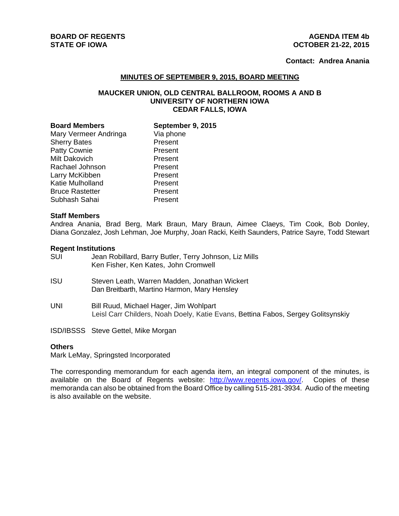# **BOARD OF REGENTS** AGENUS AGENERATION OF REGENTS

# **STATE OF IOWA OCTOBER 21-22, 2015**

# **Contact: Andrea Anania**

## **MINUTES OF SEPTEMBER 9, 2015, BOARD MEETING**

# **MAUCKER UNION, OLD CENTRAL BALLROOM, ROOMS A AND B UNIVERSITY OF NORTHERN IOWA CEDAR FALLS, IOWA**

| <b>Board Members</b>   | September 9, 2015 |
|------------------------|-------------------|
| Mary Vermeer Andringa  | Via phone         |
| <b>Sherry Bates</b>    | Present           |
| Patty Cownie           | Present           |
| Milt Dakovich          | Present           |
| Rachael Johnson        | Present           |
| Larry McKibben         | Present           |
| Katie Mulholland       | Present           |
| <b>Bruce Rastetter</b> | Present           |
| Subhash Sahai          | Present           |

#### **Staff Members**

Andrea Anania, Brad Berg, Mark Braun, Mary Braun, Aimee Claeys, Tim Cook, Bob Donley, Diana Gonzalez, Josh Lehman, Joe Murphy, Joan Racki, Keith Saunders, Patrice Sayre, Todd Stewart

#### **Regent Institutions**

| SUI | Jean Robillard, Barry Butler, Terry Johnson, Liz Mills |
|-----|--------------------------------------------------------|
|     | Ken Fisher, Ken Kates, John Cromwell                   |

- ISU Steven Leath, Warren Madden, Jonathan Wickert Dan Breitbarth, Martino Harmon, Mary Hensley
- UNI Bill Ruud, Michael Hager, Jim Wohlpart Leisl Carr Childers, Noah Doely, Katie Evans, Bettina Fabos, Sergey Golitsynskiy

ISD/IBSSS Steve Gettel, Mike Morgan

#### **Others**

Mark LeMay, Springsted Incorporated

The corresponding memorandum for each agenda item, an integral component of the minutes, is available on the Board of Regents website: http://www.regents.iowa.gov/. Copies of these memoranda can also be obtained from the Board Office by calling 515-281-3934. Audio of the meeting is also available on the website.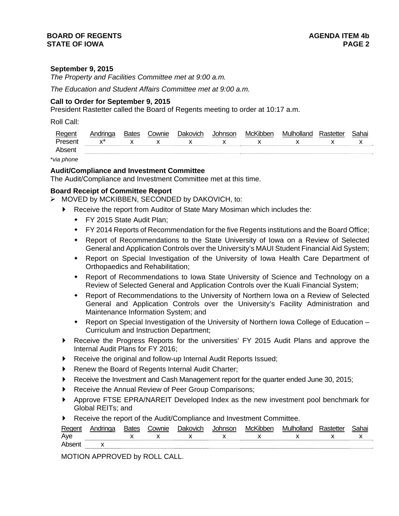# **September 9, 2015**

*The Property and Facilities Committee met at 9:00 a.m.* 

*The Education and Student Affairs Committee met at 9:00 a.m.* 

# **Call to Order for September 9, 2015**

President Rastetter called the Board of Regents meeting to order at 10:17 a.m.

Roll Call:

| Reger         | Andringa  | Bates | `ownie | Jakovich | าทรon | McKibben | Muur | Sahai |
|---------------|-----------|-------|--------|----------|-------|----------|------|-------|
| Presen        | $\lambda$ |       |        |          |       |          |      |       |
| Abser         |           |       |        |          |       |          |      |       |
| $\sim$ $\sim$ |           |       |        |          |       |          |      |       |

\**via phone*

## **Audit/Compliance and Investment Committee**

The Audit/Compliance and Investment Committee met at this time.

## **Board Receipt of Committee Report**

- MOVED by MCKIBBEN, SECONDED by DAKOVICH, to:
	- Receive the report from Auditor of State Mary Mosiman which includes the:
		- ◆ FY 2015 State Audit Plan:
		- FY 2014 Reports of Recommendation for the five Regents institutions and the Board Office;
		- Report of Recommendations to the State University of Iowa on a Review of Selected General and Application Controls over the University's MAUI Student Financial Aid System;
		- Report on Special Investigation of the University of Iowa Health Care Department of Orthopaedics and Rehabilitation;
		- Report of Recommendations to Iowa State University of Science and Technology on a Review of Selected General and Application Controls over the Kuali Financial System;
		- Report of Recommendations to the University of Northern Iowa on a Review of Selected General and Application Controls over the University's Facility Administration and Maintenance Information System; and
		- Report on Special Investigation of the University of Northern Iowa College of Education Curriculum and Instruction Department;
	- Receive the Progress Reports for the universities' FY 2015 Audit Plans and approve the Internal Audit Plans for FY 2016;
	- Receive the original and follow-up Internal Audit Reports Issued;
	- Renew the Board of Regents Internal Audit Charter;
	- Receive the Investment and Cash Management report for the quarter ended June 30, 2015;
	- Receive the Annual Review of Peer Group Comparisons;
	- Approve FTSE EPRA/NAREIT Developed Index as the new investment pool benchmark for Global REITs; and
	- Receive the report of the Audit/Compliance and Investment Committee.

| Regent | Andringa                      | <b>Bates</b> | Cownie | <b>Dakovich</b> | Johnson | McKibben                                                                                                                                                                                                                                                                                                                      | Mulholland  | Rastetter | Sahai |
|--------|-------------------------------|--------------|--------|-----------------|---------|-------------------------------------------------------------------------------------------------------------------------------------------------------------------------------------------------------------------------------------------------------------------------------------------------------------------------------|-------------|-----------|-------|
| Aye    | $\mathsf{X}$ and $\mathsf{X}$ |              |        |                 |         | $\mathbf{x}$ and $\mathbf{x}$ and $\mathbf{x}$ and $\mathbf{x}$ and $\mathbf{x}$ and $\mathbf{x}$ and $\mathbf{x}$ and $\mathbf{x}$ and $\mathbf{x}$ and $\mathbf{x}$ and $\mathbf{x}$ and $\mathbf{x}$ and $\mathbf{x}$ and $\mathbf{x}$ and $\mathbf{x}$ and $\mathbf{x}$ and $\mathbf{x}$ and $\mathbf{x}$ and $\mathbf{x$ | $\mathbf x$ |           |       |
| Absen  |                               |              |        |                 |         |                                                                                                                                                                                                                                                                                                                               |             |           |       |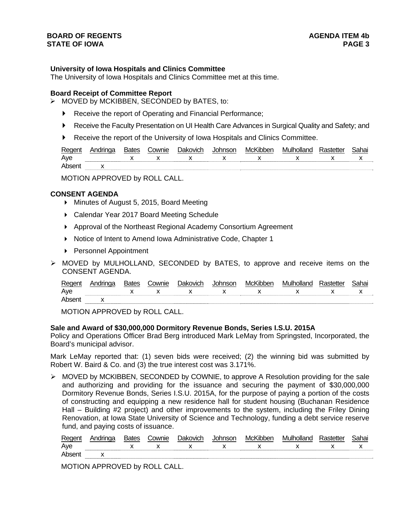## **University of Iowa Hospitals and Clinics Committee**

The University of Iowa Hospitals and Clinics Committee met at this time.

#### **Board Receipt of Committee Report**

- $\triangleright$  MOVED by MCKIBBEN, SECONDED by BATES, to:
	- ▶ Receive the report of Operating and Financial Performance;
	- Receive the Faculty Presentation on UI Health Care Advances in Surgical Quality and Safety; and
	- Receive the report of the University of Iowa Hospitals and Clinics Committee.

| Regen | 3ates | cownie. | ר <b>Pakovich</b> | lohnson | McKibber | Mulholland | Sahai |
|-------|-------|---------|-------------------|---------|----------|------------|-------|
| Ave   |       | v       |                   |         |          |            |       |
| Ahser |       |         |                   |         |          |            |       |

MOTION APPROVED by ROLL CALL.

#### **CONSENT AGENDA**

- ▶ Minutes of August 5, 2015, Board Meeting
- ▶ Calendar Year 2017 Board Meeting Schedule
- Approval of the Northeast Regional Academy Consortium Agreement
- ▶ Notice of Intent to Amend Iowa Administrative Code, Chapter 1
- ▶ Personnel Appointment
- MOVED by MULHOLLAND, SECONDED by BATES, to approve and receive items on the CONSENT AGENDA.

| P∆r |  | `ownie | ורו        | $\cdots$<br>⊣∖∕l∩″ |     | `ahai |
|-----|--|--------|------------|--------------------|-----|-------|
| Aye |  |        | ---------- |                    | . . | . .   |
|     |  |        |            |                    |     |       |

MOTION APPROVED by ROLL CALL.

#### **Sale and Award of \$30,000,000 Dormitory Revenue Bonds, Series I.S.U. 2015A**

Policy and Operations Officer Brad Berg introduced Mark LeMay from Springsted, Incorporated, the Board's municipal advisor.

Mark LeMay reported that: (1) seven bids were received; (2) the winning bid was submitted by Robert W. Baird & Co. and (3) the true interest cost was 3.171%.

 $\triangleright$  MOVED by MCKIBBEN, SECONDED by COWNIE, to approve A Resolution providing for the sale and authorizing and providing for the issuance and securing the payment of \$30,000,000 Dormitory Revenue Bonds, Series I.S.U. 2015A, for the purpose of paying a portion of the costs of constructing and equipping a new residence hall for student housing (Buchanan Residence Hall – Building #2 project) and other improvements to the system, including the Friley Dining Renovation, at Iowa State University of Science and Technology, funding a debt service reserve fund, and paying costs of issuance.

| Regent | Andringa | <b>Bates</b> | Cownie | Dakovich | Johnson | McKibben | Mulholland | Rastetter | Sahai |
|--------|----------|--------------|--------|----------|---------|----------|------------|-----------|-------|
| Aye    |          |              |        |          |         |          |            |           |       |
| Absent |          |              |        |          |         |          |            |           |       |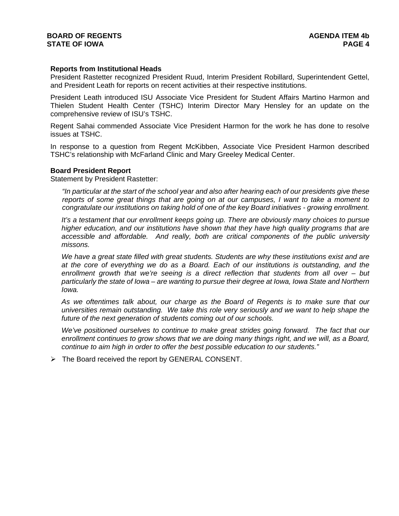## **Reports from Institutional Heads**

President Rastetter recognized President Ruud, Interim President Robillard, Superintendent Gettel, and President Leath for reports on recent activities at their respective institutions.

President Leath introduced ISU Associate Vice President for Student Affairs Martino Harmon and Thielen Student Health Center (TSHC) Interim Director Mary Hensley for an update on the comprehensive review of ISU's TSHC.

Regent Sahai commended Associate Vice President Harmon for the work he has done to resolve issues at TSHC.

In response to a question from Regent McKibben, Associate Vice President Harmon described TSHC's relationship with McFarland Clinic and Mary Greeley Medical Center.

#### **Board President Report**

Statement by President Rastetter:

*"In particular at the start of the school year and also after hearing each of our presidents give these reports of some great things that are going on at our campuses, I want to take a moment to congratulate our institutions on taking hold of one of the key Board initiatives - growing enrollment.*

*It's a testament that our enrollment keeps going up. There are obviously many choices to pursue higher education, and our institutions have shown that they have high quality programs that are accessible and affordable. And really, both are critical components of the public university missons.* 

*We have a great state filled with great students. Students are why these institutions exist and are at the core of everything we do as a Board. Each of our institutions is outstanding, and the enrollment growth that we're seeing is a direct reflection that students from all over – but particularly the state of Iowa – are wanting to pursue their degree at Iowa, Iowa State and Northern Iowa.* 

*As we oftentimes talk about, our charge as the Board of Regents is to make sure that our universities remain outstanding. We take this role very seriously and we want to help shape the future of the next generation of students coming out of our schools.* 

*We've positioned ourselves to continue to make great strides going forward. The fact that our enrollment continues to grow shows that we are doing many things right, and we will, as a Board, continue to aim high in order to offer the best possible education to our students."* 

 $\triangleright$  The Board received the report by GENERAL CONSENT.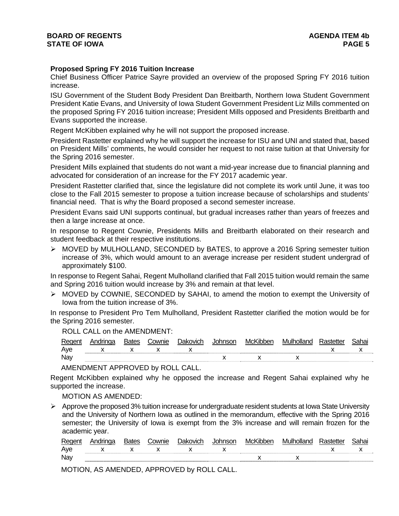# **Proposed Spring FY 2016 Tuition Increase**

Chief Business Officer Patrice Sayre provided an overview of the proposed Spring FY 2016 tuition increase.

ISU Government of the Student Body President Dan Breitbarth, Northern Iowa Student Government President Katie Evans, and University of Iowa Student Government President Liz Mills commented on the proposed Spring FY 2016 tuition increase; President Mills opposed and Presidents Breitbarth and Evans supported the increase.

Regent McKibben explained why he will not support the proposed increase.

President Rastetter explained why he will support the increase for ISU and UNI and stated that, based on President Mills' comments, he would consider her request to not raise tuition at that University for the Spring 2016 semester.

President Mills explained that students do not want a mid-year increase due to financial planning and advocated for consideration of an increase for the FY 2017 academic year.

President Rastetter clarified that, since the legislature did not complete its work until June, it was too close to the Fall 2015 semester to propose a tuition increase because of scholarships and students' financial need. That is why the Board proposed a second semester increase.

President Evans said UNI supports continual, but gradual increases rather than years of freezes and then a large increase at once.

In response to Regent Cownie, Presidents Mills and Breitbarth elaborated on their research and student feedback at their respective institutions.

 $\triangleright$  MOVED by MULHOLLAND, SECONDED by BATES, to approve a 2016 Spring semester tuition increase of 3%, which would amount to an average increase per resident student undergrad of approximately \$100.

In response to Regent Sahai, Regent Mulholland clarified that Fall 2015 tuition would remain the same and Spring 2016 tuition would increase by 3% and remain at that level.

 $\triangleright$  MOVED by COWNIE, SECONDED by SAHAI, to amend the motion to exempt the University of Iowa from the tuition increase of 3%.

In response to President Pro Tem Mulholland, President Rastetter clarified the motion would be for the Spring 2016 semester.

ROLL CALL on the AMENDMENT:

| Reg | . drugan | ownie; | Jakovich | <b>nsor</b> | McKir | 11. III | :ahol |
|-----|----------|--------|----------|-------------|-------|---------|-------|
| Aye |          |        |          |             |       |         |       |
| Nay |          |        |          |             |       |         |       |

AMENDMENT APPROVED by ROLL CALL.

Regent McKibben explained why he opposed the increase and Regent Sahai explained why he supported the increase.

MOTION AS AMENDED:

 $\triangleright$  Approve the proposed 3% tuition increase for undergraduate resident students at Iowa State University and the University of Northern Iowa as outlined in the memorandum, effective with the Spring 2016 semester; the University of Iowa is exempt from the 3% increase and will remain frozen for the academic year.

| Regent | ues | `ownie | Jakovich | $-$ | MC |  | <b>п</b> ю. |
|--------|-----|--------|----------|-----|----|--|-------------|
| Ave    |     |        |          |     |    |  |             |
| Nav    |     |        |          |     |    |  |             |

MOTION, AS AMENDED, APPROVED by ROLL CALL.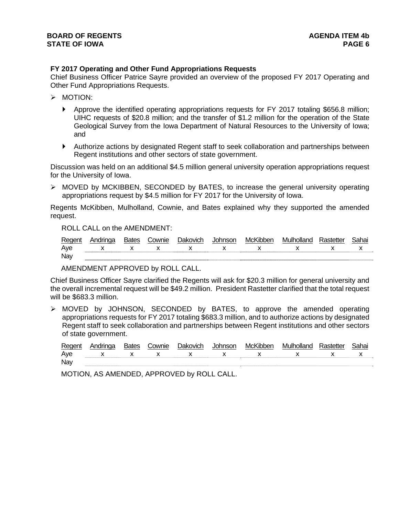# **FY 2017 Operating and Other Fund Appropriations Requests**

Chief Business Officer Patrice Sayre provided an overview of the proposed FY 2017 Operating and Other Fund Appropriations Requests.

- > MOTION:
	- Approve the identified operating appropriations requests for FY 2017 totaling \$656.8 million; UIHC requests of \$20.8 million; and the transfer of \$1.2 million for the operation of the State Geological Survey from the Iowa Department of Natural Resources to the University of Iowa; and
	- Authorize actions by designated Regent staff to seek collaboration and partnerships between Regent institutions and other sectors of state government.

Discussion was held on an additional \$4.5 million general university operation appropriations request for the University of Iowa.

 $\triangleright$  MOVED by MCKIBBEN, SECONDED by BATES, to increase the general university operating appropriations request by \$4.5 million for FY 2017 for the University of Iowa.

Regents McKibben, Mulholland, Cownie, and Bates explained why they supported the amended request.

ROLL CALL on the AMENDMENT:

| Regent | Andringa                    | <b>Bates</b> | ີ ownie | <b>Dakovich</b> | Johnson | McKibben                    | Mulholland    | Rastetter | Sahai |
|--------|-----------------------------|--------------|---------|-----------------|---------|-----------------------------|---------------|-----------|-------|
| Aye    | $\mathsf{X}$ x $\mathsf{X}$ |              |         |                 |         | $\mathsf{Y}$ x $\mathsf{Y}$ | $\mathbf x$ x |           |       |
| Nay    |                             |              |         |                 |         |                             |               |           |       |

AMENDMENT APPROVED by ROLL CALL.

Chief Business Officer Sayre clarified the Regents will ask for \$20.3 million for general university and the overall incremental request will be \$49.2 million. President Rastetter clarified that the total request will be \$683.3 million.

 MOVED by JOHNSON, SECONDED by BATES, to approve the amended operating appropriations requests for FY 2017 totaling \$683.3 million, and to authorize actions by designated Regent staff to seek collaboration and partnerships between Regent institutions and other sectors of state government.

| <b>Regent</b> | Bates | `ownie | Jakovich | mson | McKibber.  | Mulholland | Sahai |
|---------------|-------|--------|----------|------|------------|------------|-------|
| Aye           |       |        |          |      |            |            |       |
| Nay           |       |        |          |      | ---------- |            |       |

MOTION, AS AMENDED, APPROVED by ROLL CALL.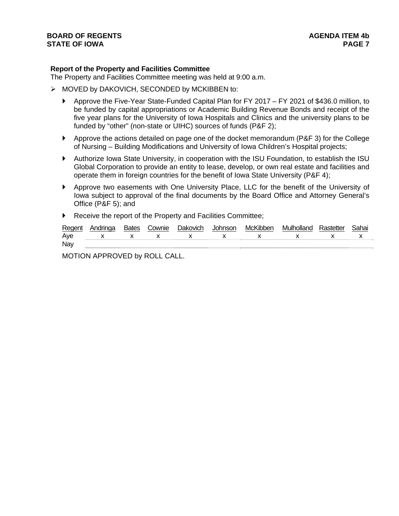# **Report of the Property and Facilities Committee**

The Property and Facilities Committee meeting was held at 9:00 a.m.

- $\triangleright$  MOVED by DAKOVICH, SECONDED by MCKIBBEN to:
	- Approve the Five-Year State-Funded Capital Plan for FY 2017 FY 2021 of \$436.0 million, to be funded by capital appropriations or Academic Building Revenue Bonds and receipt of the five year plans for the University of Iowa Hospitals and Clinics and the university plans to be funded by "other" (non-state or UIHC) sources of funds (P&F 2);
	- Approve the actions detailed on page one of the docket memorandum (P&F 3) for the College of Nursing – Building Modifications and University of Iowa Children's Hospital projects;
	- Authorize Iowa State University, in cooperation with the ISU Foundation, to establish the ISU Global Corporation to provide an entity to lease, develop, or own real estate and facilities and operate them in foreign countries for the benefit of Iowa State University (P&F 4);
	- Approve two easements with One University Place, LLC for the benefit of the University of Iowa subject to approval of the final documents by the Board Office and Attorney General's Office (P&F 5); and
	- Receive the report of the Property and Facilities Committee;

| Regen | <b>Bates</b> | `ownie | Jakovich | MC.K | Mulholla.<br>nc | ieue | <b>Saha</b> i |
|-------|--------------|--------|----------|------|-----------------|------|---------------|
| Ave   |              |        |          |      |                 |      |               |
| Nay   |              |        |          |      |                 |      |               |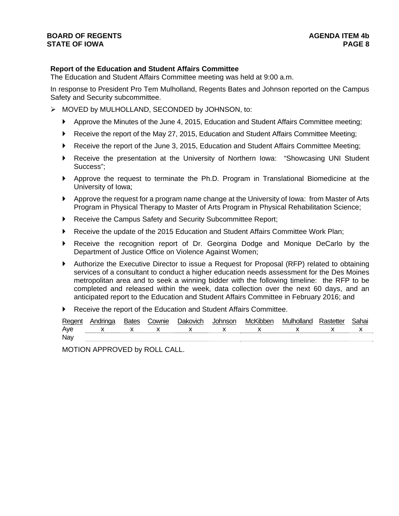# **Report of the Education and Student Affairs Committee**

The Education and Student Affairs Committee meeting was held at 9:00 a.m.

In response to President Pro Tem Mulholland, Regents Bates and Johnson reported on the Campus Safety and Security subcommittee.

- > MOVED by MULHOLLAND, SECONDED by JOHNSON, to:
	- Approve the Minutes of the June 4, 2015, Education and Student Affairs Committee meeting;
	- ▶ Receive the report of the May 27, 2015, Education and Student Affairs Committee Meeting;
	- Receive the report of the June 3, 2015, Education and Student Affairs Committee Meeting;
	- Receive the presentation at the University of Northern Iowa: "Showcasing UNI Student Success";
	- Approve the request to terminate the Ph.D. Program in Translational Biomedicine at the University of Iowa;
	- Approve the request for a program name change at the University of Iowa: from Master of Arts Program in Physical Therapy to Master of Arts Program in Physical Rehabilitation Science;
	- Receive the Campus Safety and Security Subcommittee Report;
	- Receive the update of the 2015 Education and Student Affairs Committee Work Plan;
	- Receive the recognition report of Dr. Georgina Dodge and Monique DeCarlo by the Department of Justice Office on Violence Against Women;
	- Authorize the Executive Director to issue a Request for Proposal (RFP) related to obtaining services of a consultant to conduct a higher education needs assessment for the Des Moines metropolitan area and to seek a winning bidder with the following timeline: the RFP to be completed and released within the week, data collection over the next 60 days, and an anticipated report to the Education and Student Affairs Committee in February 2016; and
	- Receive the report of the Education and Student Affairs Committee.

| Regen | ndrinas | ownie; | ⊥)akovich | – MC <sup>⊯</sup> | M | .<br>ahai |
|-------|---------|--------|-----------|-------------------|---|-----------|
| Ave   |         |        |           |                   |   |           |
| Nay   |         |        |           |                   |   |           |